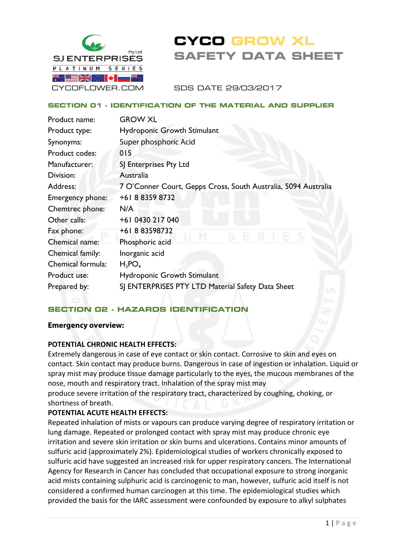

# **CYCO GROW XL SAFETY DATA SHEET**

SDS DATE 29/03/2017

#### **SECTION 01 - IDENTIFICATION OF THE MATERIAL AND SUPPLIER**

| Product name:     | <b>GROW XL</b>                                                 |
|-------------------|----------------------------------------------------------------|
| Product type:     | <b>Hydroponic Growth Stimulant</b>                             |
| Synonyms:         | Super phosphoric Acid                                          |
| Product codes:    | 015                                                            |
| Manufacturer:     | SJ Enterprises Pty Ltd                                         |
| Division:         | Australia                                                      |
| Address:          | 7 O'Conner Court, Gepps Cross, South Australia, 5094 Australia |
| Emergency phone:  | +61883598732                                                   |
| Chemtrec phone:   | N/A                                                            |
| Other calls:      | +61 0430 217 040                                               |
| Fax phone:        | +61883598732                                                   |
| Chemical name:    | Phosphoric acid                                                |
| Chemical family:  | Inorganic acid                                                 |
| Chemical formula: | $H_3PO_4$                                                      |
| Product use:      | Hydroponic Growth Stimulant                                    |
| Prepared by:      | SJ ENTERPRISES PTY LTD Material Safety Data Sheet              |
|                   |                                                                |

## **SECTION 02 - HAZARDS IDENTIFICATION**

#### **Emergency overview:**

#### **POTENTIAL CHRONIC HEALTH EFFECTS:**

Extremely dangerous in case of eye contact or skin contact. Corrosive to skin and eyes on contact. Skin contact may produce burns. Dangerous in case of ingestion or inhalation. Liquid or spray mist may produce tissue damage particularly to the eyes, the mucous membranes of the nose, mouth and respiratory tract. Inhalation of the spray mist may

produce severe irritation of the respiratory tract, characterized by coughing, choking, or shortness of breath.

#### **POTENTIAL ACUTE HEALTH EFFECTS:**

Repeated inhalation of mists or vapours can produce varying degree of respiratory irritation or lung damage. Repeated or prolonged contact with spray mist may produce chronic eye irritation and severe skin irritation or skin burns and ulcerations. Contains minor amounts of sulfuric acid (approximately 2%). Epidemiological studies of workers chronically exposed to sulfuric acid have suggested an increased risk for upper respiratory cancers. The International Agency for Research in Cancer has concluded that occupational exposure to strong inorganic acid mists containing sulphuric acid is carcinogenic to man, however, sulfuric acid itself is not considered a confirmed human carcinogen at this time. The epidemiological studies which provided the basis for the IARC assessment were confounded by exposure to alkyl sulphates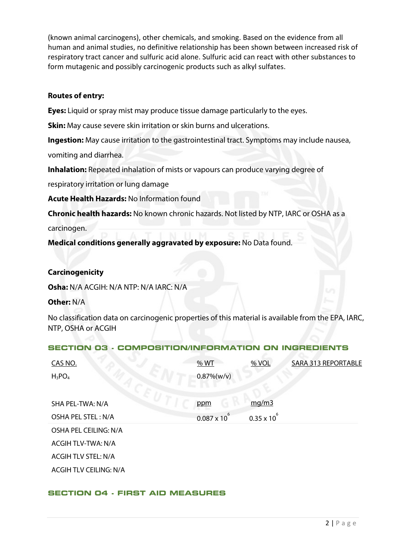(known animal carcinogens), other chemicals, and smoking. Based on the evidence from all human and animal studies, no definitive relationship has been shown between increased risk of respiratory tract cancer and sulfuric acid alone. Sulfuric acid can react with other substances to form mutagenic and possibly carcinogenic products such as alkyl sulfates.

## **Routes of entry:**

**Eyes:** Liquid or spray mist may produce tissue damage particularly to the eyes.

**Skin:** May cause severe skin irritation or skin burns and ulcerations.

**Ingestion:** May cause irritation to the gastrointestinal tract. Symptoms may include nausea, vomiting and diarrhea.

**Inhalation:** Repeated inhalation of mists or vapours can produce varying degree of

respiratory irritation or lung damage

**Acute Health Hazards:** No Information found

**Chronic health hazards:** No known chronic hazards. Not listed by NTP, IARC or OSHA as a carcinogen.

**Medical conditions generally aggravated by exposure:** No Data found.

## **Carcinogenicity**

**Osha:** N/A ACGIH: N/A NTP: N/A IARC: N/A

#### **Other:** N/A

No classification data on carcinogenic properties of this material is available from the EPA, IARC, NTP, OSHA or ACGIH

#### **SECTION 03 - COMPOSITION/INFORMATION ON INGREDIENTS**

| CAS NO.                       | % WT                   | % VOL                | SARA 313 REPORTABLE |
|-------------------------------|------------------------|----------------------|---------------------|
| $H_3PO_4$                     | $0.87\%(w/v)$          |                      |                     |
|                               |                        |                      |                     |
| SHA PEL-TWA: N/A              | ppm                    | mq/m3                |                     |
| OSHA PEL STEL: N/A            | $0.087 \times 10^{-7}$ | $0.35 \times 10^{6}$ |                     |
| OSHA PEL CEILING: N/A         |                        |                      |                     |
| <b>ACGIH TLV-TWA: N/A</b>     |                        |                      |                     |
| <b>ACGIH TLV STEL: N/A</b>    |                        |                      |                     |
| <b>ACGIH TLV CEILING: N/A</b> |                        |                      |                     |

#### **SECTION 04 - FIRST AID MEASURES**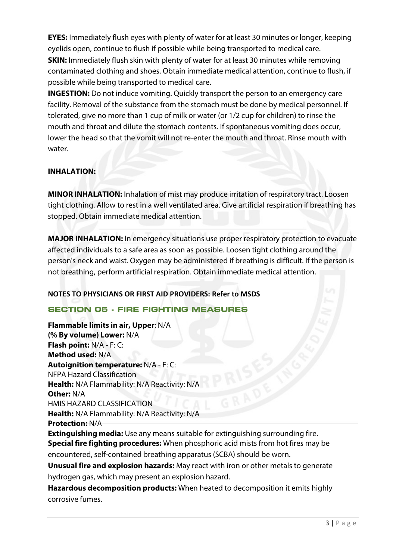**EYES:** Immediately flush eyes with plenty of water for at least 30 minutes or longer, keeping eyelids open, continue to flush if possible while being transported to medical care. **SKIN:** Immediately flush skin with plenty of water for at least 30 minutes while removing contaminated clothing and shoes. Obtain immediate medical attention, continue to flush, if possible while being transported to medical care.

**INGESTION:** Do not induce vomiting. Quickly transport the person to an emergency care facility. Removal of the substance from the stomach must be done by medical personnel. If tolerated, give no more than 1 cup of milk or water (or 1/2 cup for children) to rinse the mouth and throat and dilute the stomach contents. If spontaneous vomiting does occur, lower the head so that the vomit will not re-enter the mouth and throat. Rinse mouth with water.

## **INHALATION:**

**MINOR INHALATION:** Inhalation of mist may produce irritation of respiratory tract. Loosen tight clothing. Allow to rest in a well ventilated area. Give artificial respiration if breathing has stopped. Obtain immediate medical attention.

**MAJOR INHALATION:** In emergency situations use proper respiratory protection to evacuate affected individuals to a safe area as soon as possible. Loosen tight clothing around the person's neck and waist. Oxygen may be administered if breathing is difficult. If the person is not breathing, perform artificial respiration. Obtain immediate medical attention.

## **NOTES TO PHYSICIANS OR FIRST AID PROVIDERS: Refer to MSDS**

## **SECTION 05 - FIRE FIGHTING MEASURES**

**Flammable limits in air, Upper**: N/A **(% By volume) Lower:** N/A **Flash point:** N/A - F: C: **Method used:** N/A **Autoignition temperature:** N/A - F: C: NFPA Hazard Classification **Health:** N/A Flammability: N/A Reactivity: N/A **Other:** N/A HMIS HAZARD CLASSIFICATION **Health:** N/A Flammability: N/A Reactivity: N/A **Protection:** N/A **Extinguishing media:** Use any means suitable for extinguishing surrounding fire. **Special fire fighting procedures:** When phosphoric acid mists from hot fires may be encountered, self-contained breathing apparatus (SCBA) should be worn. **Unusual fire and explosion hazards:** May react with iron or other metals to generate hydrogen gas, which may present an explosion hazard. **Hazardous decomposition products:** When heated to decomposition it emits highly corrosive fumes.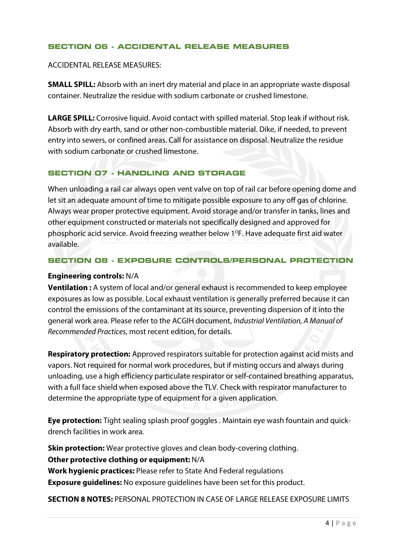#### **SECTION 06 - ACCIDENTAL RELEASE MEASURES**

ACCIDENTAL RELEASE MEASURES:

**SMALL SPILL:** Absorb with an inert dry material and place in an appropriate waste disposal container. Neutralize the residue with sodium carbonate or crushed limestone.

**LARGE SPILL:** Corrosive liquid. Avoid contact with spilled material. Stop leak if without risk. Absorb with dry earth, sand or other non-combustible material. Dike, if needed, to prevent entry into sewers, or confined areas. Call for assistance on disposal. Neutralize the residue with sodium carbonate or crushed limestone.

## **SECTION 07 - HANDLING AND STORAGE**

When unloading a rail car always open vent valve on top of rail car before opening dome and let sit an adequate amount of time to mitigate possible exposure to any off gas of chlorine. Always wear proper protective equipment. Avoid storage and/or transfer in tanks, lines and other equipment constructed or materials not specifically designed and approved for phosphoric acid service. Avoid freezing weather below  $1^{\circ}$ F. Have adequate first aid water available.

#### **SECTION 08 - EXPOSURE CONTROLS/PERSONAL PROTECTION**

#### **Engineering controls:** N/A

**Ventilation :** A system of local and/or general exhaust is recommended to keep employee exposures as low as possible. Local exhaust ventilation is generally preferred because it can control the emissions of the contaminant at its source, preventing dispersion of it into the general work area. Please refer to the ACGIH document, *Industrial Ventilation, A Manual of Recommended Practices*, most recent edition, for details.

**Respiratory protection:** Approved respirators suitable for protection against acid mists and vapors. Not required for normal work procedures, but if misting occurs and always during unloading, use a high efficiency particulate respirator or self-contained breathing apparatus, with a full face shield when exposed above the TLV. Check with respirator manufacturer to determine the appropriate type of equipment for a given application.

**Eye protection:** Tight sealing splash proof goggles . Maintain eye wash fountain and quickdrench facilities in work area.

**Skin protection:** Wear protective gloves and clean body-covering clothing. **Other protective clothing or equipment:** N/A **Work hygienic practices:** Please refer to State And Federal regulations **Exposure guidelines:** No exposure guidelines have been set for this product.

**SECTION 8 NOTES:** PERSONAL PROTECTION IN CASE OF LARGE RELEASE EXPOSURE LIMITS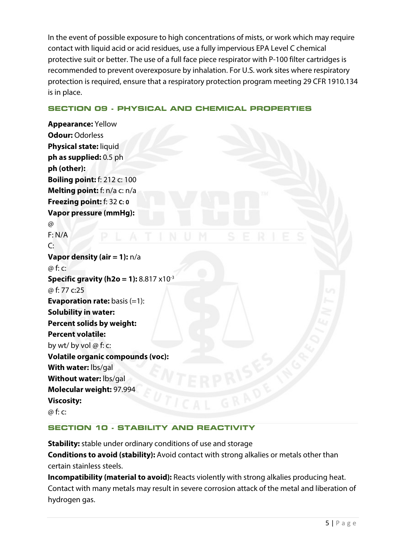In the event of possible exposure to high concentrations of mists, or work which may require contact with liquid acid or acid residues, use a fully impervious EPA Level C chemical protective suit or better. The use of a full face piece respirator with P-100 filter cartridges is recommended to prevent overexposure by inhalation. For U.S. work sites where respiratory protection is required, ensure that a respiratory protection program meeting 29 CFR 1910.134 is in place.

## **SECTION 09 - PHYSICAL AND CHEMICAL PROPERTIES**

**Appearance:** Yellow **Odour:** Odorless **Physical state:** liquid **ph as supplied:** 0.5 ph **ph (other): Boiling point:** f: 212 c: 100 **Melting point:** f: n/a c: n/a **Freezing point:** f: 32 **C: 0 Vapor pressure (mmHg):**  @ F: N/A  $\mathsf{C}^{\mathsf{C}}$ **Vapor density (air = 1):** n/a @ f: c: **Specific gravity (h2o = 1):** 8.817 x10<sup>-3</sup> @ f: 77 c:25 **Evaporation rate:** basis (=1): **Solubility in water: Percent solids by weight: Percent volatile:** by wt/ by vol @ f: c: **Volatile organic compounds (voc): With water:** lbs/gal **Without water:** lbs/gal **Molecular weight:** 97.994 **Viscosity:** @ f: c:

## **SECTION 10 - STABILITY AND REACTIVITY**

**Stability:** stable under ordinary conditions of use and storage **Conditions to avoid (stability):** Avoid contact with strong alkalies or metals other than certain stainless steels.

**Incompatibility (material to avoid):** Reacts violently with strong alkalies producing heat. Contact with many metals may result in severe corrosion attack of the metal and liberation of hydrogen gas.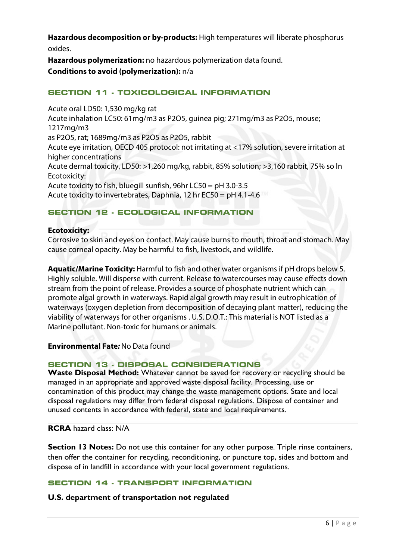**Hazardous decomposition or by-products:** High temperatures will liberate phosphorus oxides.

**Hazardous polymerization:** no hazardous polymerization data found.

**Conditions to avoid (polymerization):** n/a

## **SECTION 11 - TOXICOLOGICAL INFORMATION**

Acute oral LD50: 1,530 mg/kg rat Acute inhalation LC50: 61mg/m3 as P2O5, guinea pig; 271mg/m3 as P2O5, mouse; 1217mg/m3 as P2O5, rat; 1689mg/m3 as P2O5 as P2O5, rabbit Acute eye irritation, OECD 405 protocol: not irritating at <17% solution, severe irritation at higher concentrations Acute dermal toxicity, LD50: >1,260 mg/kg, rabbit, 85% solution; >3,160 rabbit, 75% so ln Ecotoxicity: Acute toxicity to fish, bluegill sunfish, 96hr LC50 = pH 3.0-3.5 Acute toxicity to invertebrates, Daphnia, 12 hr EC50 = pH 4.1-4.6

## **SECTION 12 - ECOLOGICAL INFORMATION**

### **Ecotoxicity:**

Corrosive to skin and eyes on contact. May cause burns to mouth, throat and stomach. May cause corneal opacity. May be harmful to fish, livestock, and wildlife.

**Aquatic/Marine Toxicity:** Harmful to fish and other water organisms if pH drops below 5. Highly soluble. Will disperse with current. Release to watercourses may cause effects down stream from the point of release. Provides a source of phosphate nutrient which can promote algal growth in waterways. Rapid algal growth may result in eutrophication of waterways (oxygen depletion from decomposition of decaying plant matter), reducing the viability of waterways for other organisms . U.S. D.O.T.: This material is NOT listed as a Marine pollutant. Non-toxic for humans or animals.

**Environmental Fate***:* No Data found

## **SECTION 13 - DISPOSAL CONSIDERATIONS**

**Waste Disposal Method:** Whatever cannot be saved for recovery or recycling should be managed in an appropriate and approved waste disposal facility. Processing, use or contamination of this product may change the waste management options. State and local disposal regulations may differ from federal disposal regulations. Dispose of container and unused contents in accordance with federal, state and local requirements.

## **RCRA** hazard class: N/A

**Section 13 Notes:** Do not use this container for any other purpose. Triple rinse containers, then offer the container for recycling, reconditioning, or puncture top, sides and bottom and dispose of in landfill in accordance with your local government regulations.

## **SECTION 14 - TRANSPORT INFORMATION**

## **U.S. department of transportation not regulated**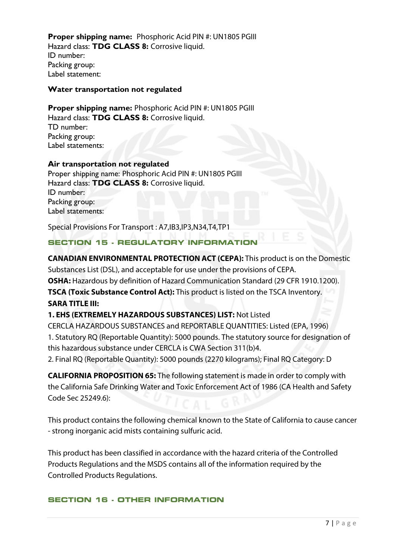**Proper shipping name:** Phosphoric Acid PIN #: UN1805 PGIII Hazard class: **TDG CLASS 8:** Corrosive liquid. ID number: Packing group: Label statement:

#### **Water transportation not regulated**

**Proper shipping name: Phosphoric Acid PIN #: UN1805 PGIII** Hazard class: **TDG CLASS 8:** Corrosive liquid. TD number: Packing group: Label statements:

#### **Air transportation not regulated**

Proper shipping name: Phosphoric Acid PIN #: UN1805 PGIII Hazard class: **TDG CLASS 8:** Corrosive liquid. ID number: Packing group: Label statements:

Special Provisions For Transport : A7,IB3,IP3,N34,T4,TP1

#### **SECTION 15 - REGULATORY INFORMATION**

**CANADIAN ENVIRONMENTAL PROTECTION ACT (CEPA):** This product is on the Domestic Substances List (DSL), and acceptable for use under the provisions of CEPA. **OSHA:** Hazardous by definition of Hazard Communication Standard (29 CFR 1910.1200). **TSCA (Toxic Substance Control Act):** This product is listed on the TSCA Inventory. **SARA TITLE III:** 

#### **1. EHS (EXTREMELY HAZARDOUS SUBSTANCES) LIST:** Not Listed

CERCLA HAZARDOUS SUBSTANCES and REPORTABLE QUANTITIES: Listed (EPA, 1996) 1. Statutory RQ (Reportable Quantity): 5000 pounds. The statutory source for designation of this hazardous substance under CERCLA is CWA Section 311(b)4.

2. Final RQ (Reportable Quantity): 5000 pounds (2270 kilograms); Final RQ Category: D

**CALIFORNIA PROPOSITION 65:** The following statement is made in order to comply with the California Safe Drinking Water and Toxic Enforcement Act of 1986 (CA Health and Safety  $Code$  Sec 25249.6) $\cdot$ 

This product contains the following chemical known to the State of California to cause cancer - strong inorganic acid mists containing sulfuric acid.

This product has been classified in accordance with the hazard criteria of the Controlled Products Regulations and the MSDS contains all of the information required by the Controlled Products Regulations.

#### **SECTION 16 - OTHER INFORMATION**